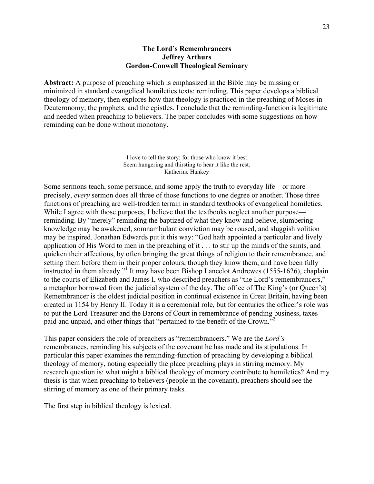### **The Lord's Remembrancers Jeffrey Arthurs Gordon-Conwell Theological Seminary**

**Abstract:** A purpose of preaching which is emphasized in the Bible may be missing or minimized in standard evangelical homiletics texts: reminding. This paper develops a biblical theology of memory, then explores how that theology is practiced in the preaching of Moses in Deuteronomy, the prophets, and the epistles. I conclude that the reminding-function is legitimate and needed when preaching to believers. The paper concludes with some suggestions on how reminding can be done without monotony.

> I love to tell the story; for those who know it best Seem hungering and thirsting to hear it like the rest. Katherine Hankey

Some sermons teach, some persuade, and some apply the truth to everyday life—or more precisely, *every* sermon does all three of those functions to one degree or another. Those three functions of preaching are well-trodden terrain in standard textbooks of evangelical homiletics. While I agree with those purposes, I believe that the textbooks neglect another purpose reminding. By "merely" reminding the baptized of what they know and believe, slumbering knowledge may be awakened, somnambulant conviction may be roused, and sluggish volition may be inspired. Jonathan Edwards put it this way: "God hath appointed a particular and lively application of His Word to men in the preaching of it . . . to stir up the minds of the saints, and quicken their affections, by often bringing the great things of religion to their remembrance, and setting them before them in their proper colours, though they know them, and have been fully instructed in them already."1 It may have been Bishop Lancelot Andrewes (1555-1626), chaplain to the courts of Elizabeth and James I, who described preachers as "the Lord's remembrancers," a metaphor borrowed from the judicial system of the day. The office of The King's (or Queen's) Remembrancer is the oldest judicial position in continual existence in Great Britain, having been created in 1154 by Henry II. Today it is a ceremonial role, but for centuries the officer's role was to put the Lord Treasurer and the Barons of Court in remembrance of pending business, taxes paid and unpaid, and other things that "pertained to the benefit of the Crown."2

This paper considers the role of preachers as "remembrancers." We are the *Lord's* remembrances, reminding his subjects of the covenant he has made and its stipulations. In particular this paper examines the reminding-function of preaching by developing a biblical theology of memory, noting especially the place preaching plays in stirring memory. My research question is: what might a biblical theology of memory contribute to homiletics? And my thesis is that when preaching to believers (people in the covenant), preachers should see the stirring of memory as one of their primary tasks.

The first step in biblical theology is lexical.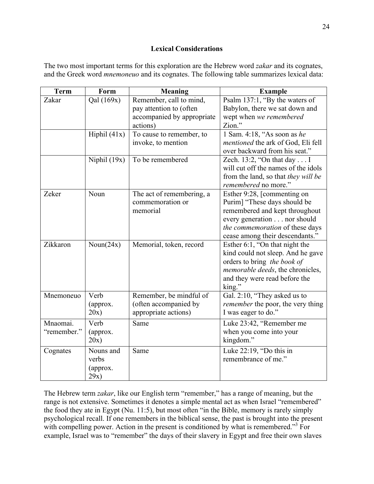# **Lexical Considerations**

The two most important terms for this exploration are the Hebrew word *zakar* and its cognates, and the Greek word *mnemoneuo* and its cognates. The following table summarizes lexical data:

| <b>Term</b>             | Form                                   | <b>Meaning</b>                                                                               | <b>Example</b>                                                                                                                                                                                     |
|-------------------------|----------------------------------------|----------------------------------------------------------------------------------------------|----------------------------------------------------------------------------------------------------------------------------------------------------------------------------------------------------|
| Zakar                   | Qal (169x)                             | Remember, call to mind,<br>pay attention to (often<br>accompanied by appropriate<br>actions) | Psalm 137:1, "By the waters of<br>Babylon, there we sat down and<br>wept when we remembered<br>Zion."                                                                                              |
|                         | Hiphil $(41x)$                         | To cause to remember, to<br>invoke, to mention                                               | 1 Sam. 4:18, "As soon as he<br>mentioned the ark of God, Eli fell<br>over backward from his seat."                                                                                                 |
|                         | Niphil $(19x)$                         | To be remembered                                                                             | Zech. 13:2, "On that day I<br>will cut off the names of the idols<br>from the land, so that they will be<br>remembered no more."                                                                   |
| Zeker                   | Noun                                   | The act of remembering, a<br>commemoration or<br>memorial                                    | Esther 9:28, [commenting on<br>Purim] "These days should be<br>remembered and kept throughout<br>every generation nor should<br>the commemoration of these days<br>cease among their descendants." |
| Zikkaron                | Noun $(24x)$                           | Memorial, token, record                                                                      | Esther 6:1, "On that night the<br>kind could not sleep. And he gave<br>orders to bring the book of<br>memorable deeds, the chronicles,<br>and they were read before the<br>king."                  |
| Mnemoneuo               | Verb<br>(approx.<br>20x)               | Remember, be mindful of<br>(often accompanied by<br>appropriate actions)                     | Gal. 2:10, "They asked us to<br><i>remember</i> the poor, the very thing<br>I was eager to do."                                                                                                    |
| Mnaomai.<br>"remember." | Verb<br>(approx.<br>20x)               | Same                                                                                         | Luke 23:42, "Remember me<br>when you come into your<br>kingdom."                                                                                                                                   |
| Cognates                | Nouns and<br>verbs<br>(approx.<br>29x) | Same                                                                                         | Luke $22:19$ , "Do this in<br>remembrance of me."                                                                                                                                                  |

The Hebrew term *zakar*, like our English term "remember," has a range of meaning, but the range is not extensive. Sometimes it denotes a simple mental act as when Israel "remembered" the food they ate in Egypt (Nu. 11:5), but most often "in the Bible, memory is rarely simply psychological recall. If one remembers in the biblical sense, the past is brought into the present with compelling power. Action in the present is conditioned by what is remembered.<sup>33</sup> For example, Israel was to "remember" the days of their slavery in Egypt and free their own slaves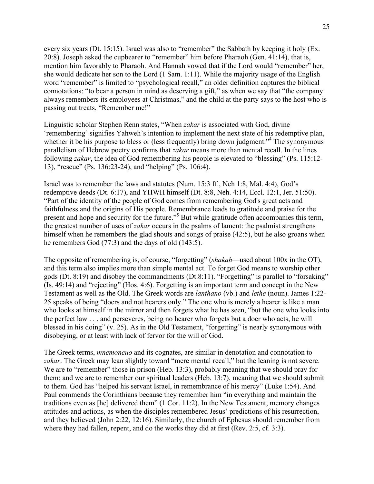every six years (Dt. 15:15). Israel was also to "remember" the Sabbath by keeping it holy (Ex. 20:8). Joseph asked the cupbearer to "remember" him before Pharaoh (Gen. 41:14), that is, mention him favorably to Pharaoh. And Hannah vowed that if the Lord would "remember" her, she would dedicate her son to the Lord (1 Sam. 1:11). While the majority usage of the English word "remember" is limited to "psychological recall," an older definition captures the biblical connotations: "to bear a person in mind as deserving a gift," as when we say that "the company always remembers its employees at Christmas," and the child at the party says to the host who is passing out treats, "Remember me!"

Linguistic scholar Stephen Renn states, "When *zakar* is associated with God, divine 'remembering' signifies Yahweh's intention to implement the next state of his redemptive plan, whether it be his purpose to bless or (less frequently) bring down judgment.<sup>34</sup> The synonymous parallelism of Hebrew poetry confirms that *zakar* means more than mental recall. In the lines following *zakar*, the idea of God remembering his people is elevated to "blessing" (Ps. 115:12- 13), "rescue" (Ps. 136:23-24), and "helping" (Ps. 106:4).

Israel was to remember the laws and statutes (Num. 15:3 ff., Neh 1:8, Mal. 4:4), God's redemptive deeds (Dt. 6:17), and YHWH himself (Dt. 8:8, Neh. 4:14, Eccl. 12:1, Jer. 51:50). "Part of the identity of the people of God comes from remembering God's great acts and faithfulness and the origins of His people. Remembrance leads to gratitude and praise for the present and hope and security for the future."<sup>5</sup> But while gratitude often accompanies this term, the greatest number of uses of *zakar* occurs in the psalms of lament: the psalmist strengthens himself when he remembers the glad shouts and songs of praise (42:5), but he also groans when he remembers God (77:3) and the days of old (143:5).

The opposite of remembering is, of course, "forgetting" (*shakah*—used about 100x in the OT), and this term also implies more than simple mental act. To forget God means to worship other gods (Dt. 8:19) and disobey the commandments (Dt.8:11). "Forgetting" is parallel to "forsaking" (Is. 49:14) and "rejecting" (Hos. 4:6). Forgetting is an important term and concept in the New Testament as well as the Old. The Greek words are *lanthano* (vb.) and *lethe* (noun). James 1:22- 25 speaks of being "doers and not hearers only." The one who is merely a hearer is like a man who looks at himself in the mirror and then forgets what he has seen, "but the one who looks into the perfect law . . . and perseveres, being no hearer who forgets but a doer who acts, he will blessed in his doing" (v. 25). As in the Old Testament, "forgetting" is nearly synonymous with disobeying, or at least with lack of fervor for the will of God.

The Greek terms, *mnemoneuo* and its cognates, are similar in denotation and connotation to zakar. The Greek may lean slightly toward "mere mental recall," but the leaning is not severe. We are to "remember" those in prison (Heb. 13:3), probably meaning that we should pray for them; and we are to remember our spiritual leaders (Heb. 13:7), meaning that we should submit to them. God has "helped his servant Israel, in remembrance of his mercy" (Luke 1:54). And Paul commends the Corinthians because they remember him "in everything and maintain the traditions even as [he] delivered them" (1 Cor. 11:2). In the New Testament, memory changes attitudes and actions, as when the disciples remembered Jesus' predictions of his resurrection, and they believed (John 2:22, 12:16). Similarly, the church of Ephesus should remember from where they had fallen, repent, and do the works they did at first (Rev. 2:5, cf. 3:3).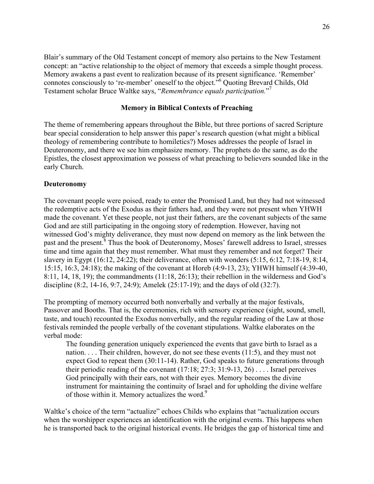Blair's summary of the Old Testament concept of memory also pertains to the New Testament concept: an "active relationship to the object of memory that exceeds a simple thought process. Memory awakens a past event to realization because of its present significance. 'Remember' connotes consciously to 're-member' oneself to the object."6 Quoting Brevard Childs, Old Testament scholar Bruce Waltke says, "*Remembrance equals participation.*" 7

### **Memory in Biblical Contexts of Preaching**

The theme of remembering appears throughout the Bible, but three portions of sacred Scripture bear special consideration to help answer this paper's research question (what might a biblical theology of remembering contribute to homiletics?) Moses addresses the people of Israel in Deuteronomy, and there we see him emphasize memory. The prophets do the same, as do the Epistles, the closest approximation we possess of what preaching to believers sounded like in the early Church.

#### **Deuteronomy**

The covenant people were poised, ready to enter the Promised Land, but they had not witnessed the redemptive acts of the Exodus as their fathers had, and they were not present when YHWH made the covenant. Yet these people, not just their fathers, are the covenant subjects of the same God and are still participating in the ongoing story of redemption. However, having not witnessed God's mighty deliverance, they must now depend on memory as the link between the past and the present.<sup>8</sup> Thus the book of Deuteronomy, Moses' farewell address to Israel, stresses time and time again that they must remember. What must they remember and not forget? Their slavery in Egypt (16:12, 24:22); their deliverance, often with wonders (5:15, 6:12, 7:18-19, 8:14, 15:15, 16:3, 24:18); the making of the covenant at Horeb (4:9-13, 23); YHWH himself (4:39-40, 8:11, 14, 18, 19); the commandments (11:18, 26:13); their rebellion in the wilderness and God's discipline (8:2, 14-16, 9:7, 24:9); Amelek (25:17-19); and the days of old (32:7).

The prompting of memory occurred both nonverbally and verbally at the major festivals, Passover and Booths. That is, the ceremonies, rich with sensory experience (sight, sound, smell, taste, and touch) recounted the Exodus nonverbally, and the regular reading of the Law at those festivals reminded the people verbally of the covenant stipulations. Waltke elaborates on the verbal mode:

The founding generation uniquely experienced the events that gave birth to Israel as a nation. . . . Their children, however, do not see these events (11:5), and they must not expect God to repeat them (30:11-14). Rather, God speaks to future generations through their periodic reading of the covenant  $(17:18; 27:3; 31:9-13, 26)$ ... Israel perceives God principally with their ears, not with their eyes. Memory becomes the divine instrument for maintaining the continuity of Israel and for upholding the divine welfare of those within it. Memory actualizes the word.<sup>9</sup>

Waltke's choice of the term "actualize" echoes Childs who explains that "actualization occurs when the worshipper experiences an identification with the original events. This happens when he is transported back to the original historical events. He bridges the gap of historical time and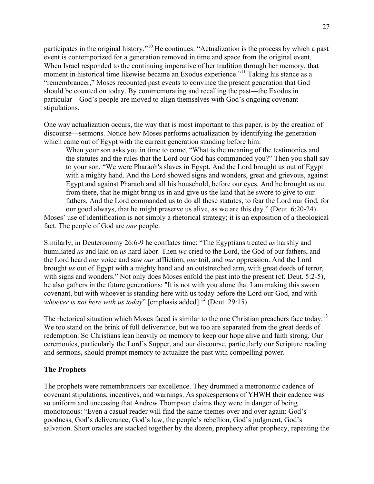participates in the original history."<sup>10</sup> He continues: "Actualization is the process by which a past event is contemporized for a generation removed in time and space from the original event. When Israel responded to the continuing imperative of her tradition through her memory, that moment in historical time likewise became an Exodus experience."<sup>11</sup> Taking his stance as a "remembrancer," Moses recounted past events to convince the present generation that God should be counted on today. By commemorating and recalling the past—the Exodus in particular—God's people are moved to align themselves with God's ongoing covenant stipulations.

One way actualization occurs, the way that is most important to this paper, is by the creation of discourse—sermons. Notice how Moses performs actualization by identifying the generation which came out of Egypt with the current generation standing before him:

When your son asks you in time to come, "What is the meaning of the testimonies and the statutes and the rules that the Lord our God has commanded you?" Then you shall say to your son, "We were Pharaoh's slaves in Egypt. And the Lord brought us out of Egypt with a mighty hand. And the Lord showed signs and wonders, great and grievous, against Egypt and against Pharaoh and all his household, before our eyes. And he brought us out from there, that he might bring us in and give us the land that he swore to give to our fathers. And the Lord commanded us to do all these statutes, to fear the Lord our God, for our good always, that he might preserve us alive, as we are this day." (Deut. 6:20-24)

Moses' use of identification is not simply a rhetorical strategy; it is an exposition of a theological fact. The people of God are *one* people.

Similarly, in Deuteronomy 26:6-9 he conflates time: "The Egyptians treated *us* harshly and humiliated *us* and laid on *us* hard labor. Then *we* cried to the Lord, the God of our fathers, and the Lord heard *our* voice and saw *our* affliction, *our* toil, and *our* oppression. And the Lord brought *us* out of Egypt with a mighty hand and an outstretched arm, with great deeds of terror, with signs and wonders." Not only does Moses enfold the past into the present (cf. Deut. 5:2-5), he also gathers in the future generations: "It is not with you alone that I am making this sworn covenant, but with whoever is standing here with us today before the Lord our God, and with *whoever is not here with us today*" [emphasis added].<sup>12</sup> (Deut. 29:15)

The rhetorical situation which Moses faced is similar to the one Christian preachers face today.<sup>13</sup> We too stand on the brink of full deliverance, but we too are separated from the great deeds of redemption. So Christians lean heavily on memory to keep our hope alive and faith strong. Our ceremonies, particularly the Lord's Supper, and our discourse, particularly our Scripture reading and sermons, should prompt memory to actualize the past with compelling power.

## **The Prophets**

The prophets were remembrancers par excellence. They drummed a metronomic cadence of covenant stipulations, incentives, and warnings. As spokespersons of YHWH their cadence was so uniform and unceasing that Andrew Thompson claims they were in danger of being monotonous: "Even a casual reader will find the same themes over and over again: God's goodness, God's deliverance, God's law, the people's rebellion, God's judgment, God's salvation. Short oracles are stacked together by the dozen, prophecy after prophecy, repeating the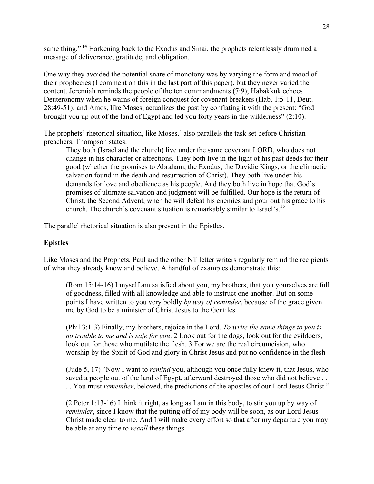same thing." <sup>14</sup> Harkening back to the Exodus and Sinai, the prophets relentlessly drummed a message of deliverance, gratitude, and obligation.

One way they avoided the potential snare of monotony was by varying the form and mood of their prophecies (I comment on this in the last part of this paper), but they never varied the content. Jeremiah reminds the people of the ten commandments (7:9); Habakkuk echoes Deuteronomy when he warns of foreign conquest for covenant breakers (Hab. 1:5-11, Deut. 28:49-51); and Amos, like Moses, actualizes the past by conflating it with the present: "God brought you up out of the land of Egypt and led you forty years in the wilderness" (2:10).

The prophets' rhetorical situation, like Moses,' also parallels the task set before Christian preachers. Thompson states:

They both (Israel and the church) live under the same covenant LORD, who does not change in his character or affections. They both live in the light of his past deeds for their good (whether the promises to Abraham, the Exodus, the Davidic Kings, or the climactic salvation found in the death and resurrection of Christ). They both live under his demands for love and obedience as his people. And they both live in hope that God's promises of ultimate salvation and judgment will be fulfilled. Our hope is the return of Christ, the Second Advent, when he will defeat his enemies and pour out his grace to his church. The church's covenant situation is remarkably similar to Israel's.<sup>15</sup>

The parallel rhetorical situation is also present in the Epistles.

#### **Epistles**

Like Moses and the Prophets, Paul and the other NT letter writers regularly remind the recipients of what they already know and believe. A handful of examples demonstrate this:

(Rom 15:14-16) I myself am satisfied about you, my brothers, that you yourselves are full of goodness, filled with all knowledge and able to instruct one another. But on some points I have written to you very boldly *by way of reminder*, because of the grace given me by God to be a minister of Christ Jesus to the Gentiles.

(Phil 3:1-3) Finally, my brothers, rejoice in the Lord. *To write the same things to you is no trouble to me and is safe for you*. 2 Look out for the dogs, look out for the evildoers, look out for those who mutilate the flesh. 3 For we are the real circumcision, who worship by the Spirit of God and glory in Christ Jesus and put no confidence in the flesh

(Jude 5, 17) "Now I want to *remind* you, although you once fully knew it, that Jesus, who saved a people out of the land of Egypt, afterward destroyed those who did not believe . . . . You must *remember*, beloved, the predictions of the apostles of our Lord Jesus Christ."

(2 Peter 1:13-16) I think it right, as long as I am in this body, to stir you up by way of *reminder*, since I know that the putting off of my body will be soon, as our Lord Jesus Christ made clear to me. And I will make every effort so that after my departure you may be able at any time to *recall* these things.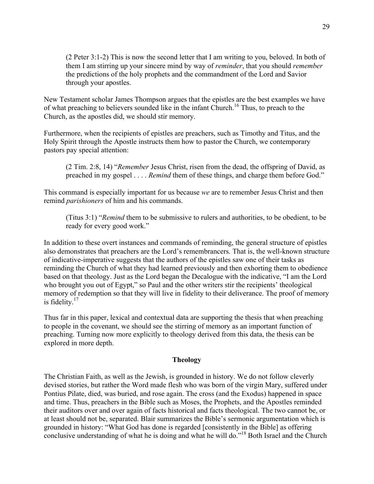(2 Peter 3:1-2) This is now the second letter that I am writing to you, beloved. In both of them I am stirring up your sincere mind by way of *reminder*, that you should *remember* the predictions of the holy prophets and the commandment of the Lord and Savior through your apostles.

New Testament scholar James Thompson argues that the epistles are the best examples we have of what preaching to believers sounded like in the infant Church.16 Thus, to preach to the Church, as the apostles did, we should stir memory.

Furthermore, when the recipients of epistles are preachers, such as Timothy and Titus, and the Holy Spirit through the Apostle instructs them how to pastor the Church, we contemporary pastors pay special attention:

(2 Tim. 2:8, 14) "*Remember* Jesus Christ, risen from the dead, the offspring of David, as preached in my gospel . . . . *Remind* them of these things, and charge them before God."

This command is especially important for us because *we* are to remember Jesus Christ and then remind *parishioners* of him and his commands.

(Titus 3:1) "*Remind* them to be submissive to rulers and authorities, to be obedient, to be ready for every good work."

In addition to these overt instances and commands of reminding, the general structure of epistles also demonstrates that preachers are the Lord's remembrancers. That is, the well-known structure of indicative-imperative suggests that the authors of the epistles saw one of their tasks as reminding the Church of what they had learned previously and then exhorting them to obedience based on that theology. Just as the Lord began the Decalogue with the indicative, "I am the Lord who brought you out of Egypt," so Paul and the other writers stir the recipients' theological memory of redemption so that they will live in fidelity to their deliverance. The proof of memory is fidelity. $17$ 

Thus far in this paper, lexical and contextual data are supporting the thesis that when preaching to people in the covenant, we should see the stirring of memory as an important function of preaching. Turning now more explicitly to theology derived from this data, the thesis can be explored in more depth.

## **Theology**

The Christian Faith, as well as the Jewish, is grounded in history. We do not follow cleverly devised stories, but rather the Word made flesh who was born of the virgin Mary, suffered under Pontius Pilate, died, was buried, and rose again. The cross (and the Exodus) happened in space and time. Thus, preachers in the Bible such as Moses, the Prophets, and the Apostles reminded their auditors over and over again of facts historical and facts theological. The two cannot be, or at least should not be, separated. Blair summarizes the Bible's sermonic argumentation which is grounded in history: "What God has done is regarded [consistently in the Bible] as offering conclusive understanding of what he is doing and what he will do.<sup>"18</sup> Both Israel and the Church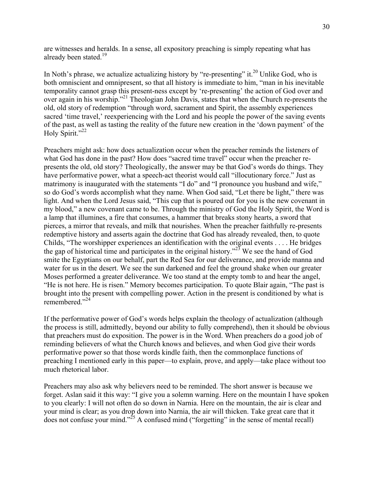are witnesses and heralds. In a sense, all expository preaching is simply repeating what has already been stated.<sup>19</sup>

In Noth's phrase, we actualize actualizing history by "re-presenting" it.<sup>20</sup> Unlike God, who is both omniscient and omnipresent, so that all history is immediate to him, "man in his inevitable temporality cannot grasp this present-ness except by 're-presenting' the action of God over and over again in his worship."21 Theologian John Davis, states that when the Church re-presents the old, old story of redemption "through word, sacrament and Spirit, the assembly experiences sacred 'time travel,' reexperiencing with the Lord and his people the power of the saving events of the past, as well as tasting the reality of the future new creation in the 'down payment' of the Holy Spirit."<sup>22</sup>

Preachers might ask: how does actualization occur when the preacher reminds the listeners of what God has done in the past? How does "sacred time travel" occur when the preacher represents the old, old story? Theologically, the answer may be that God's words do things. They have performative power, what a speech-act theorist would call "illocutionary force." Just as matrimony is inaugurated with the statements "I do" and "I pronounce you husband and wife," so do God's words accomplish what they name. When God said, "Let there be light," there was light. And when the Lord Jesus said, "This cup that is poured out for you is the new covenant in my blood," a new covenant came to be. Through the ministry of God the Holy Spirit, the Word is a lamp that illumines, a fire that consumes, a hammer that breaks stony hearts, a sword that pierces, a mirror that reveals, and milk that nourishes. When the preacher faithfully re-presents redemptive history and asserts again the doctrine that God has already revealed, then, to quote Childs, "The worshipper experiences an identification with the original events . . . . He bridges the gap of historical time and participates in the original history."<sup>23</sup> We see the hand of God smite the Egyptians on our behalf, part the Red Sea for our deliverance, and provide manna and water for us in the desert. We see the sun darkened and feel the ground shake when our greater Moses performed a greater deliverance. We too stand at the empty tomb to and hear the angel, "He is not here. He is risen." Memory becomes participation. To quote Blair again, "The past is brought into the present with compelling power. Action in the present is conditioned by what is remembered<sup>"24</sup>

If the performative power of God's words helps explain the theology of actualization (although the process is still, admittedly, beyond our ability to fully comprehend), then it should be obvious that preachers must do exposition. The power is in the Word. When preachers do a good job of reminding believers of what the Church knows and believes, and when God give their words performative power so that those words kindle faith, then the commonplace functions of preaching I mentioned early in this paper—to explain, prove, and apply—take place without too much rhetorical labor.

Preachers may also ask why believers need to be reminded. The short answer is because we forget. Aslan said it this way: "I give you a solemn warning. Here on the mountain I have spoken to you clearly: I will not often do so down in Narnia. Here on the mountain, the air is clear and your mind is clear; as you drop down into Narnia, the air will thicken. Take great care that it does not confuse your mind."<sup>25</sup> A confused mind ("forgetting" in the sense of mental recall)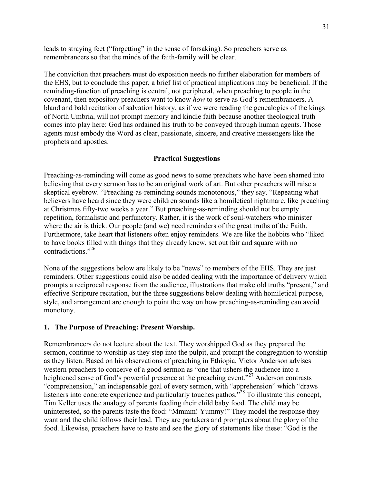leads to straying feet ("forgetting" in the sense of forsaking). So preachers serve as remembrancers so that the minds of the faith-family will be clear.

The conviction that preachers must do exposition needs no further elaboration for members of the EHS, but to conclude this paper, a brief list of practical implications may be beneficial. If the reminding-function of preaching is central, not peripheral, when preaching to people in the covenant, then expository preachers want to know *how* to serve as God's remembrancers. A bland and bald recitation of salvation history, as if we were reading the genealogies of the kings of North Umbria, will not prompt memory and kindle faith because another theological truth comes into play here: God has ordained his truth to be conveyed through human agents. Those agents must embody the Word as clear, passionate, sincere, and creative messengers like the prophets and apostles.

## **Practical Suggestions**

Preaching-as-reminding will come as good news to some preachers who have been shamed into believing that every sermon has to be an original work of art. But other preachers will raise a skeptical eyebrow. "Preaching-as-reminding sounds monotonous," they say. "Repeating what believers have heard since they were children sounds like a homiletical nightmare, like preaching at Christmas fifty-two weeks a year." But preaching-as-reminding should not be empty repetition, formalistic and perfunctory. Rather, it is the work of soul-watchers who minister where the air is thick. Our people (and we) need reminders of the great truths of the Faith. Furthermore, take heart that listeners often enjoy reminders. We are like the hobbits who "liked to have books filled with things that they already knew, set out fair and square with no contradictions."<sup>26</sup>

None of the suggestions below are likely to be "news" to members of the EHS. They are just reminders. Other suggestions could also be added dealing with the importance of delivery which prompts a reciprocal response from the audience, illustrations that make old truths "present," and effective Scripture recitation, but the three suggestions below dealing with homiletical purpose, style, and arrangement are enough to point the way on how preaching-as-reminding can avoid monotony.

#### **1. The Purpose of Preaching: Present Worship.**

Remembrancers do not lecture about the text. They worshipped God as they prepared the sermon, continue to worship as they step into the pulpit, and prompt the congregation to worship as they listen. Based on his observations of preaching in Ethiopia, Victor Anderson advises western preachers to conceive of a good sermon as "one that ushers the audience into a heightened sense of God's powerful presence at the preaching event."<sup>27</sup> Anderson contrasts "comprehension," an indispensable goal of every sermon, with "apprehension" which "draws listeners into concrete experience and particularly touches pathos.<sup>728</sup> To illustrate this concept, Tim Keller uses the analogy of parents feeding their child baby food. The child may be uninterested, so the parents taste the food: "Mmmm! Yummy!" They model the response they want and the child follows their lead. They are partakers and prompters about the glory of the food. Likewise, preachers have to taste and see the glory of statements like these: "God is the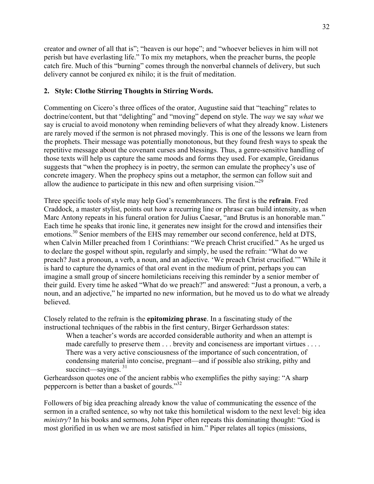creator and owner of all that is"; "heaven is our hope"; and "whoever believes in him will not perish but have everlasting life." To mix my metaphors, when the preacher burns, the people catch fire. Much of this "burning" comes through the nonverbal channels of delivery, but such delivery cannot be conjured ex nihilo; it is the fruit of meditation.

# **2. Style: Clothe Stirring Thoughts in Stirring Words.**

Commenting on Cicero's three offices of the orator, Augustine said that "teaching" relates to doctrine/content, but that "delighting" and "moving" depend on style. The *way* we say *what* we say is crucial to avoid monotony when reminding believers of what they already know. Listeners are rarely moved if the sermon is not phrased movingly. This is one of the lessons we learn from the prophets. Their message was potentially monotonous, but they found fresh ways to speak the repetitive message about the covenant curses and blessings. Thus, a genre-sensitive handling of those texts will help us capture the same moods and forms they used. For example, Greidanus suggests that "when the prophecy is in poetry, the sermon can emulate the prophecy's use of concrete imagery. When the prophecy spins out a metaphor, the sermon can follow suit and allow the audience to participate in this new and often surprising vision.<sup> $29$ </sup>

Three specific tools of style may help God's remembrancers. The first is the **refrain**. Fred Craddock, a master stylist, points out how a recurring line or phrase can build intensity, as when Marc Antony repeats in his funeral oration for Julius Caesar, "and Brutus is an honorable man." Each time he speaks that ironic line, it generates new insight for the crowd and intensifies their emotions.<sup>30</sup> Senior members of the EHS may remember our second conference, held at DTS, when Calvin Miller preached from 1 Corinthians: "We preach Christ crucified." As he urged us to declare the gospel without spin, regularly and simply, he used the refrain: "What do we preach? Just a pronoun, a verb, a noun, and an adjective. 'We preach Christ crucified.'" While it is hard to capture the dynamics of that oral event in the medium of print, perhaps you can imagine a small group of sincere homileticians receiving this reminder by a senior member of their guild. Every time he asked "What do we preach?" and answered: "Just a pronoun, a verb, a noun, and an adjective," he imparted no new information, but he moved us to do what we already believed.

Closely related to the refrain is the **epitomizing phrase**. In a fascinating study of the instructional techniques of the rabbis in the first century, Birger Gerhardsson states:

When a teacher's words are accorded considerable authority and when an attempt is made carefully to preserve them . . . brevity and conciseness are important virtues . . . . There was a very active consciousness of the importance of such concentration, of condensing material into concise, pregnant—and if possible also striking, pithy and succinct—sayings.  $31$ 

Gerheardsson quotes one of the ancient rabbis who exemplifies the pithy saying: "A sharp peppercorn is better than a basket of gourds."<sup>32</sup>

Followers of big idea preaching already know the value of communicating the essence of the sermon in a crafted sentence, so why not take this homiletical wisdom to the next level: big idea *ministry*? In his books and sermons, John Piper often repeats this dominating thought: "God is most glorified in us when we are most satisfied in him." Piper relates all topics (missions,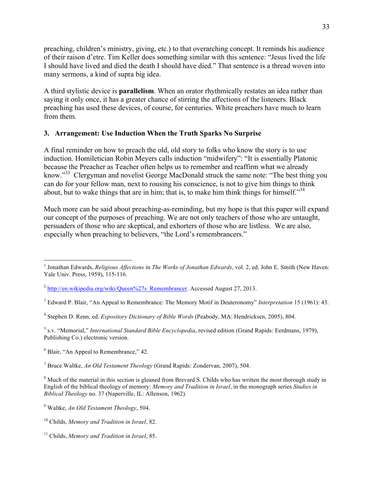preaching, children's ministry, giving, etc.) to that overarching concept. It reminds his audience of their raison d'etre. Tim Keller does something similar with this sentence: "Jesus lived the life I should have lived and died the death I should have died." That sentence is a thread woven into many sermons, a kind of supra big idea.

A third stylistic device is **parallelism**. When an orator rhythmically restates an idea rather than saying it only once, it has a greater chance of stirring the affections of the listeners. Black preaching has used these devices, of course, for centuries. White preachers have much to learn from them.

# **3. Arrangement: Use Induction When the Truth Sparks No Surprise**

A final reminder on how to preach the old, old story to folks who know the story is to use induction. Homiletician Robin Meyers calls induction "midwifery": "It is essentially Platonic because the Preacher as Teacher often helps us to remember and reaffirm what we already know."<sup>33</sup> Clergyman and novelist George MacDonald struck the same note: "The best thing you can do for your fellow man, next to rousing his conscience, is not to give him things to think about, but to wake things that are in him; that is, to make him think things for himself."<sup>34</sup>

Much more can be said about preaching-as-reminding, but my hope is that this paper will expand our concept of the purposes of preaching. We are not only teachers of those who are untaught, persuaders of those who are skeptical, and exhorters of those who are listless. We are also, especially when preaching to believers, "the Lord's remembrancers."

 <sup>1</sup> Jonathan Edwards, *Religious Affections* in *The Works of Jonathan Edwards*, vol. 2, ed. John E. Smith (New Haven: Yale Univ. Press, 1959), 115-116.

 $2 \text{ http://en.wikipedia.org/wiki/Queen%27s}$  Remembrancer. Accessed August 27, 2013.

<sup>3</sup> Edward P. Blair, "An Appeal to Remembrance: The Memory Motif in Deuteronomy" *Interpretation* 15 (1961): 43.

<sup>4</sup> Stephen D. Renn, ed. *Expository Dictionary of Bible Words* (Peabody, MA: Hendricksen, 2005), 804.

<sup>5</sup> s.v. "Memorial," *International Standard Bible Encyclopedia*, revised edition (Grand Rapids: Eerdmans, 1979), Publishing Co.) electronic version.

 $6$  Blair, "An Appeal to Remembrance," 42.

<sup>7</sup> Bruce Waltke, *An Old Testament Theology* (Grand Rapids: Zondervan, 2007), 504.

<sup>&</sup>lt;sup>8</sup> Much of the material in this section is gleaned from Brevard S. Childs who has written the most thorough study in English of the biblical theology of memory: *Memory and Tradition in Israel*, in the monograph series *Studies in Biblical Theology* no. 37 (Naperville, IL: Allenson, 1962).

<sup>9</sup> Waltke, *An Old Testament Theology*, 504.

<sup>10</sup> Childs, *Memory and Tradition in Israel*, 82.

<sup>11</sup> Childs, *Memory and Tradition in Israel*, 85.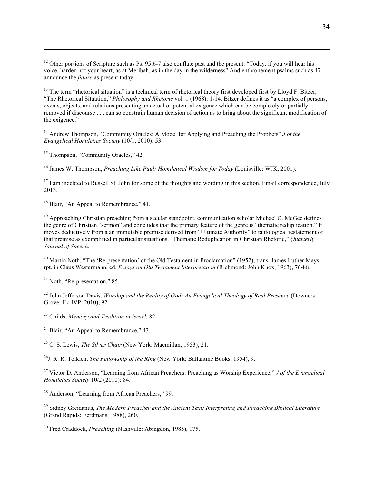<sup>12</sup> Other portions of Scripture such as Ps. 95:6-7 also conflate past and the present: "Today, if you will hear his voice, harden not your heart, as at Meribah, as in the day in the wilderness" And enthronement psalms such as 47 announce the *future* as present today.

<sup>13</sup> The term "rhetorical situation" is a technical term of rhetorical theory first developed first by Lloyd F. Bitzer, "The Rhetorical Situation," *Philosophy and Rhetoric* vol. 1 (1968): 1-14. Bitzer defines it as "a complex of persons, events, objects, and relations presenting an actual or potential exigence which can be completely or partially removed if discourse . . . can so constrain human decision of action as to bring about the significant modification of the exigence."

<sup>14</sup> Andrew Thompson, "Community Oracles: A Model for Applying and Preaching the Prophets" *J of the Evangelical Homiletics Society* (10/1, 2010): 53.

<sup>15</sup> Thompson, "Community Oracles," 42.

<u>.</u>

<sup>16</sup> James W. Thompson, *Preaching Like Paul: Homiletical Wisdom for Today* (Louisville: WJK, 2001).

 $17$  I am indebted to Russell St. John for some of the thoughts and wording in this section. Email correspondence, July 2013.

<sup>18</sup> Blair, "An Appeal to Remembrance," 41.

<sup>19</sup> Approaching Christian preaching from a secular standpoint, communication scholar Michael C. McGee defines the genre of Christian "sermon" and concludes that the primary feature of the genre is "thematic reduplication." It moves deductively from a an immutable premise derived from "Ultimate Authority" to tautological restatement of that premise as exemplified in particular situations. "Thematic Reduplication in Christian Rhetoric," *Quarterly Journal of Speech.*

<sup>20</sup> Martin Noth, "The 'Re-presentation' of the Old Testament in Proclamation" (1952), trans. James Luther Mays, rpt. in Claus Westermann, ed. *Essays on Old Testament Interpretation* (Richmond: John Knox, 1963), 76-88.

 $21$  Noth, "Re-presentation," 85.

<sup>22</sup> John Jefferson Davis, *Worship and the Reality of God: An Evangelical Theology of Real Presence* (Downers Grove, IL: IVP, 2010), 92.

<sup>23</sup> Childs, *Memory and Tradition in Israel*, 82.

 $^{24}$  Blair, "An Appeal to Remembrance," 43.

<sup>25</sup> C. S. Lewis, *The Silver Chair* (New York: Macmillan, 1953), 21.

26J. R. R. Tolkien, *The Fellowship of the Ring* (New York: Ballantine Books, 1954), 9.

<sup>27</sup> Victor D. Anderson, "Learning from African Preachers: Preaching as Worship Experience," *J of the Evangelical Homiletics Society* 10/2 (2010): 84.

<sup>28</sup> Anderson, "Learning from African Preachers," 99.

<sup>29</sup> Sidney Greidanus, *The Modern Preacher and the Ancient Text: Interpreting and Preaching Biblical Literature* (Grand Rapids: Eerdmans, 1988), 260.

<sup>30</sup> Fred Craddock, *Preaching* (Nashville: Abingdon, 1985), 175.